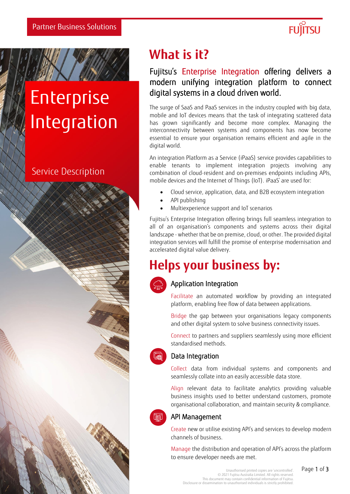

# Enterprise Integration

## Service Description



## Fujitsu's Enterprise Integration offering delivers a modern unifying integration platform to connect digital systems in a cloud driven world.

The surge of SaaS and PaaS services in the industry coupled with big data, mobile and IoT devices means that the task of integrating scattered data has grown significantly and become more complex. Managing the interconnectivity between systems and components has now become essential to ensure your organisation remains efficient and agile in the digital world.

An integration Platform as a Service (iPaaS) service provides capabilities to enable tenants to implement integration projects involving any combination of cloud-resident and on-premises endpoints including APIs, mobile devices and the Internet of Things (IoT). iPaaS' are used for:

- Cloud service, application, data, and B2B ecosystem integration
- API publishing
- Multiexperience support and IoT scenarios

Fujitsu's Enterprise Integration offering brings full seamless integration to all of an organisation's components and systems across their digital landscape - whether that be on premise, cloud, or other. The provided digital integration services will fulfill the promise of enterprise modernisation and accelerated digital value delivery.

## **Helps your business by:**



### Application Integration

Facilitate an automated workflow by providing an integrated platform, enabling free flow of data between applications.

Bridge the gap between your organisations legacy components and other digital system to solve business connectivity issues.

Connect to partners and suppliers seamlessly using more efficient standardised methods.



#### Data Integration

Collect data from individual systems and components and seamlessly collate into an easily accessible data store.

Align relevant data to facilitate analytics providing valuable business insights used to better understand customers, promote organisational collaboration, and maintain security & compliance.



### API Management

Create new or utilise existing API's and services to develop modern channels of business.

Manage the distribution and operation of API's across the platform to ensure developer needs are met.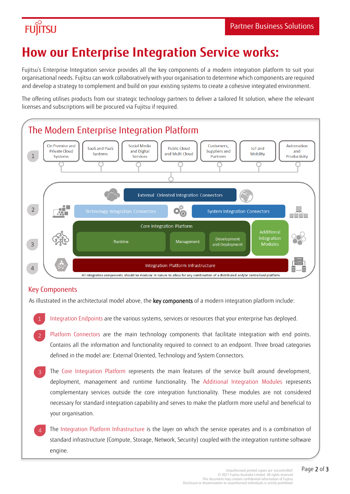## **FUJITSU**

## **How our Enterprise Integration Service works:**

Fujitsu's Enterprise Integration service provides all the key components of a modern integration platform to suit your organisational needs. Fujitsu can work collaboratively with your organisation to determine which components are required and develop a strategy to complement and build on your existing systems to create a cohesive integrated environment.

The offering utilises products from our strategic technology partners to deliver a tailored fit solution, where the relevant licenses and subscriptions will be procured via Fujitsu if required.



### Key Components

As illustrated in the architectural model above, the key components of a modern integration platform include:

- Integration Endpoints are the various systems, services or resources that your enterprise has deployed.
- Platform Connectors are the main technology components that facilitate integration with end points. Contains all the information and functionality required to connect to an endpoint. Three broad categories defined in the model are: External Oriented, Technology and System Connectors.
- The Core Integration Platform represents the main features of the service built around development, deployment, management and runtime functionality. The Additional Integration Modules represents complementary services outside the core integration functionality. These modules are not considered necessary for standard integration capability and serves to make the platform more useful and beneficial to your organisation.
- The Integration Platform Infrastructure is the layer on which the service operates and is a combination of standard infrastructure (Compute, Storage, Network, Security) coupled with the integration runtime software engine.